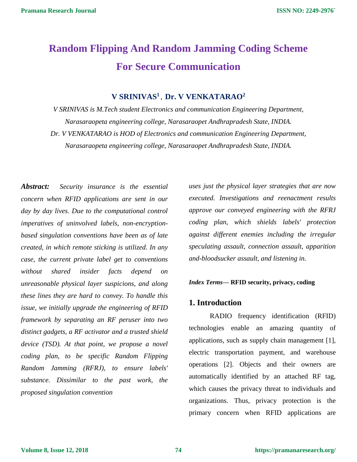# **Random Flipping And Random Jamming Coding Scheme For Secure Communication**

# **V SRINIVAS<sup>1</sup> , Dr. V VENKATARAO<sup>2</sup>**

*V SRINIVAS is M.Tech student Electronics and communication Engineering Department, Narasaraopeta engineering college, Narasaraopet Andhrapradesh State, INDIA. Dr. V VENKATARAO is HOD of Electronics and communication Engineering Department, Narasaraopeta engineering college, Narasaraopet Andhrapradesh State, INDIA.*

*Abstract: Security insurance is the essential concern when RFID applications are sent in our day by day lives. Due to the computational control imperatives of uninvolved labels, non-encryptionbased singulation conventions have been as of late created, in which remote sticking is utilized. In any case, the current private label get to conventions without shared insider facts depend on unreasonable physical layer suspicions, and along these lines they are hard to convey. To handle this issue, we initially upgrade the engineering of RFID framework by separating an RF peruser into two distinct gadgets, a RF activator and a trusted shield device (TSD). At that point, we propose a novel coding plan, to be specific Random Flipping Random Jamming (RFRJ), to ensure labels' substance. Dissimilar to the past work, the proposed singulation convention* 

*uses just the physical layer strategies that are now executed. Investigations and reenactment results approve our conveyed engineering with the RFRJ coding plan, which shields labels' protection against different enemies including the irregular speculating assault, connection assault, apparition and-bloodsucker assault, and listening in.*

#### *Index Terms***— RFID security, privacy, coding**

#### **1. Introduction**

RADIO frequency identification (RFID) technologies enable an amazing quantity of applications, such as supply chain management [1], electric transportation payment, and warehouse operations [2]. Objects and their owners are automatically identified by an attached RF tag, which causes the privacy threat to individuals and organizations. Thus, privacy protection is the primary concern when RFID applications are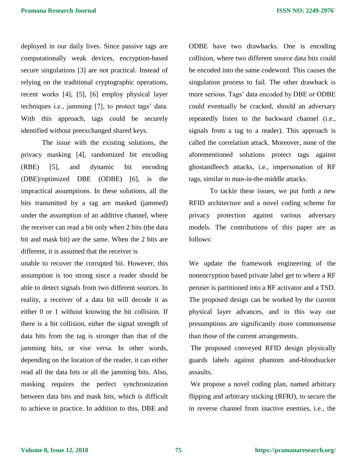deployed in our daily lives. Since passive tags are computationally weak devices, encryption-based secure singulations [3] are not practical. Instead of relying on the traditional cryptographic operations, recent works [4], [5], [6] employ physical layer techniques i.e., jamming [7], to protect tags' data. With this approach, tags could be securely identified without preexchanged shared keys.

The issue with the existing solutions, the privacy masking [4], randomized bit encoding (RBE) [5], and dynamic bit encoding (DBE)/optimized DBE (ODBE) [6], is the impractical assumptions. In these solutions, all the bits transmitted by a tag are masked (jammed) under the assumption of an additive channel, where the receiver can read a bit only when 2 bits (the data bit and mask bit) are the same. When the 2 bits are different, it is assumed that the receiver is

unable to recover the corrupted bit. However, this assumption is too strong since a reader should be able to detect signals from two different sources. In reality, a receiver of a data bit will decode it as either 0 or 1 without knowing the bit collision. If there is a bit collision, either the signal strength of data bits from the tag is stronger than that of the jamming bits, or vise versa. In other words, depending on the location of the reader, it can either read all the data bits or all the jamming bits. Also, masking requires the perfect synchronization between data bits and mask bits, which is difficult to achieve in practice. In addition to this, DBE and ODBE have two drawbacks. One is encoding collision, where two different source data bits could be encoded into the same codeword. This causes the singulation process to fail. The other drawback is more serious. Tags' data encoded by DBE or ODBE could eventually be cracked, should an adversary repeatedly listen to the backward channel (i.e., signals from a tag to a reader). This approach is called the correlation attack. Moreover, none of the aforementioned solutions protect tags against ghostandleech attacks, i.e., impersonation of RF tags, similar to man-in-the-middle attacks.

To tackle these issues, we put forth a new RFID architecture and a novel coding scheme for privacy protection against various adversary models. The contributions of this paper are as follows:

We update the framework engineering of the nonencryption based private label get to where a RF peruser is partitioned into a RF activator and a TSD. The proposed design can be worked by the current physical layer advances, and in this way our presumptions are significantly more commonsense than those of the current arrangements.

The proposed conveyed RFID design physically guards labels against phantom and-bloodsucker assaults.

We propose a novel coding plan, named arbitrary flipping and arbitrary sticking (RFRJ), to secure the in reverse channel from inactive enemies, i.e., the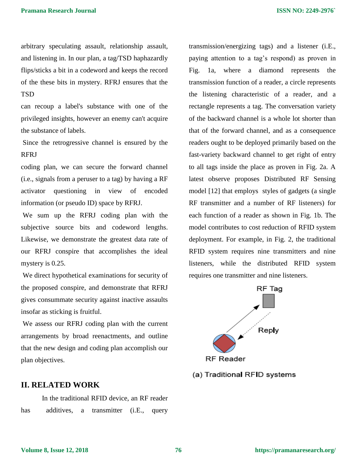arbitrary speculating assault, relationship assault, and listening in. In our plan, a tag/TSD haphazardly flips/sticks a bit in a codeword and keeps the record of the these bits in mystery. RFRJ ensures that the **TSD** 

can recoup a label's substance with one of the privileged insights, however an enemy can't acquire the substance of labels.

Since the retrogressive channel is ensured by the RFRJ

coding plan, we can secure the forward channel (i.e., signals from a peruser to a tag) by having a RF activator questioning in view of encoded information (or pseudo ID) space by RFRJ.

We sum up the RFRJ coding plan with the subjective source bits and codeword lengths. Likewise, we demonstrate the greatest data rate of our RFRJ conspire that accomplishes the ideal mystery is 0.25.

We direct hypothetical examinations for security of the proposed conspire, and demonstrate that RFRJ gives consummate security against inactive assaults insofar as sticking is fruitful.

We assess our RFRJ coding plan with the current arrangements by broad reenactments, and outline that the new design and coding plan accomplish our plan objectives.

transmission/energizing tags) and a listener (i.E., paying attention to a tag's respond) as proven in Fig. 1a, where a diamond represents the transmission function of a reader, a circle represents the listening characteristic of a reader, and a rectangle represents a tag. The conversation variety of the backward channel is a whole lot shorter than that of the forward channel, and as a consequence readers ought to be deployed primarily based on the fast-variety backward channel to get right of entry to all tags inside the place as proven in Fig. 2a. A latest observe proposes Distributed RF Sensing model [12] that employs styles of gadgets (a single RF transmitter and a number of RF listeners) for each function of a reader as shown in Fig. 1b. The model contributes to cost reduction of RFID system deployment. For example, in Fig. 2, the traditional RFID system requires nine transmitters and nine listeners, while the distributed RFID system requires one transmitter and nine listeners.



#### (a) Traditional RFID systems

#### **II. RELATED WORK**

In the traditional RFID device, an RF reader has additives, a transmitter (i.E., query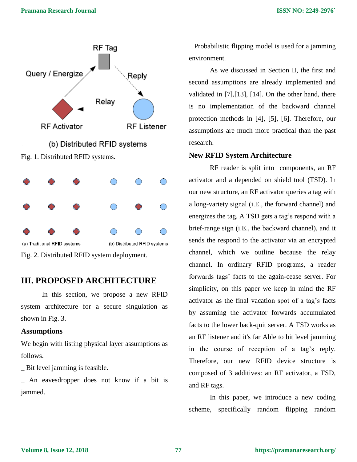

Fig. 2. Distributed RFID system deployment.

# **III. PROPOSED ARCHITECTURE**

In this section, we propose a new RFID system architecture for a secure singulation as shown in Fig. 3.

## **Assumptions**

We begin with listing physical layer assumptions as follows.

\_ Bit level jamming is feasible.

\_ An eavesdropper does not know if a bit is jammed.

\_ Probabilistic flipping model is used for a jamming environment.

As we discussed in Section II, the first and second assumptions are already implemented and validated in [7],[13], [14]. On the other hand, there is no implementation of the backward channel protection methods in [4], [5], [6]. Therefore, our assumptions are much more practical than the past research.

## **New RFID System Architecture**

RF reader is split into components, an RF activator and a depended on shield tool (TSD). In our new structure, an RF activator queries a tag with a long-variety signal (i.E., the forward channel) and energizes the tag. A TSD gets a tag's respond with a brief-range sign (i.E., the backward channel), and it sends the respond to the activator via an encrypted channel, which we outline because the relay channel. In ordinary RFID programs, a reader forwards tags' facts to the again-cease server. For simplicity, on this paper we keep in mind the RF activator as the final vacation spot of a tag's facts by assuming the activator forwards accumulated facts to the lower back-quit server. A TSD works as an RF listener and it's far Able to bit level jamming in the course of reception of a tag's reply. Therefore, our new RFID device structure is composed of 3 additives: an RF activator, a TSD, and RF tags.

In this paper, we introduce a new coding scheme, specifically random flipping random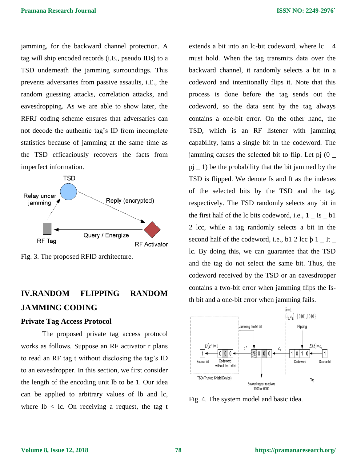jamming, for the backward channel protection. A tag will ship encoded records (i.E., pseudo IDs) to a TSD underneath the jamming surroundings. This prevents adversaries from passive assaults, i.E., the random guessing attacks, correlation attacks, and eavesdropping. As we are able to show later, the RFRJ coding scheme ensures that adversaries can not decode the authentic tag's ID from incomplete statistics because of jamming at the same time as the TSD efficaciously recovers the facts from imperfect information.



Fig. 3. The proposed RFID architecture.

# **IV.RANDOM FLIPPING RANDOM JAMMING CODING**

#### **Private Tag Access Protocol**

The proposed private tag access protocol works as follows. Suppose an RF activator r plans to read an RF tag t without disclosing the tag's ID to an eavesdropper. In this section, we first consider the length of the encoding unit lb to be 1. Our idea can be applied to arbitrary values of lb and lc, where  $\text{lb} < \text{lc}$ . On receiving a request, the tag t

extends a bit into an lc-bit codeword, where lc  $=$  4 must hold. When the tag transmits data over the backward channel, it randomly selects a bit in a codeword and intentionally flips it. Note that this process is done before the tag sends out the codeword, so the data sent by the tag always contains a one-bit error. On the other hand, the TSD, which is an RF listener with jamming capability, jams a single bit in the codeword. The jamming causes the selected bit to flip. Let pj (0 \_  $pi$   $\geq$  1) be the probability that the bit jammed by the TSD is flipped. We denote Is and It as the indexes of the selected bits by the TSD and the tag, respectively. The TSD randomly selects any bit in the first half of the  $\ell$  bits codeword, i.e.,  $1$  Is  $\ell$  b1 2 lcc, while a tag randomly selects a bit in the second half of the codeword, i.e., b1 2 lcc  $\frac{1}{2}$  Lt \_ lc. By doing this, we can guarantee that the TSD and the tag do not select the same bit. Thus, the codeword received by the TSD or an eavesdropper contains a two-bit error when jamming flips the Isth bit and a one-bit error when jamming fails.



Fig. 4. The system model and basic idea.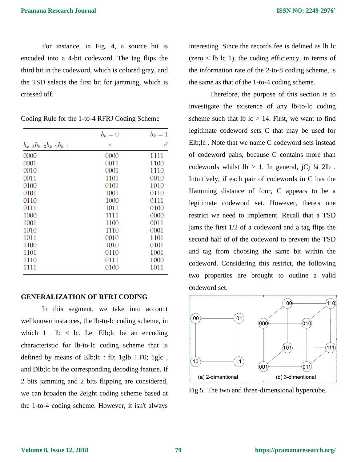For instance, in Fig. 4, a source bit is encoded into a 4-bit codeword. The tag flips the third bit in the codeword, which is colored gray, and the TSD selects the first bit for jamming, which is crossed off.

|                                | $b_k=0$        | $b_k=1$     |
|--------------------------------|----------------|-------------|
| $b_{k-4}b_{k-3}b_{k-2}b_{k-1}$ | $\overline{c}$ | $\epsilon'$ |
| 0000                           | 0000           | 1111        |
| 0001                           | 0011           | 1100        |
| 0010                           | 0001           | 1110        |
| 0011                           | 1101           | 0010        |
| 0100                           | 0101           | 1010        |
| 0101                           | 1001           | 0110        |
| 0110                           | 1000           | 0111        |
| 0111                           | 1011           | 0100        |
| 1000                           | 1111           | 0000        |
| 1001                           | 1100           | 0011        |
| 1010                           | 1110           | 0001        |
| 1011                           | 0010           | 1101        |
| 1100                           | 1010           | 0101        |
| 1101                           | 0110           | 1001        |
| 1110                           | 0111           | 1000        |
| 1111                           | 0100           | 1011        |

Coding Rule for the 1-to-4 RFRJ Coding Scheme

#### **GENERALIZATION OF RFRJ CODING**

In this segment, we take into account wellknown instances, the lb-to-lc coding scheme, in which 1 lb  $\lt$  lc. Let Elb; lc be an encoding characteristic for lb-to-lc coding scheme that is defined by means of Elb;lc : f0; 1glb ! F0; 1glc , and Dlb;lc be the corresponding decoding feature. If 2 bits jamming and 2 bits flipping are considered, we can broaden the 2eight coding scheme based at the 1-to-4 coding scheme. However, it isn't always

interesting. Since the records fee is defined as lb lc  $(zero < lb \, lc \, 1)$ , the coding efficiency, in terms of the information rate of the 2-to-8 coding scheme, is the same as that of the 1-to-4 coding scheme.

Therefore, the purpose of this section is to investigate the existence of any lb-to-lc coding scheme such that  $\text{lb }$  lc  $> 14$ . First, we want to find legitimate codeword sets C that may be used for Elb;lc . Note that we name C codeword sets instead of codeword pairs, because C contains more than codewords whilst  $lb > 1$ . In general,  $iCj \frac{1}{4} 2lb$ . Intuitively, if each pair of codewords in C has the Hamming distance of four, C appears to be a legitimate codeword set. However, there's one restrict we need to implement. Recall that a TSD jams the first 1/2 of a codeword and a tag flips the second half of of the codeword to prevent the TSD and tag from choosing the same bit within the codeword. Considering this restrict, the following two properties are brought to outline a valid codeword set.



Fig.5. The two and three-dimensional hypercube.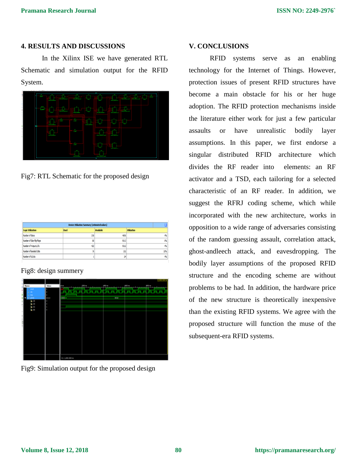# **4. RESULTS AND DISCUSSIONS**

In the Xilinx ISE we have generated RTL Schematic and simulation output for the RFID System.



Fig7: RTL Schematic for the proposed design

| <b>Device Utilization Summary (estimated values)</b> |      |                  |                    |
|------------------------------------------------------|------|------------------|--------------------|
| Logic Utilization                                    | Used | <b>Available</b> | <b>Utilization</b> |
| Number of Sices                                      | 218  | 45%              | 枞                  |
| Number of Sice Filo Floors                           | 80   | 9312             | O%                 |
| Number of 4 input LUTs                               | 422  | 9312             | 锅                  |
| Number of bonded 10ths                               | χ    | 232              | 32%                |
| Number of GCLKs                                      |      | χ                | 畅                  |

Fig8: design summery



Fig9: Simulation output for the proposed design

# **V. CONCLUSIONS**

RFID systems serve as an enabling technology for the Internet of Things. However, protection issues of present RFID structures have become a main obstacle for his or her huge adoption. The RFID protection mechanisms inside the literature either work for just a few particular assaults or have unrealistic bodily layer assumptions. In this paper, we first endorse a singular distributed RFID architecture which divides the RF reader into elements: an RF activator and a TSD, each tailoring for a selected characteristic of an RF reader. In addition, we suggest the RFRJ coding scheme, which while incorporated with the new architecture, works in opposition to a wide range of adversaries consisting of the random guessing assault, correlation attack, ghost-andleech attack, and eavesdropping. The bodily layer assumptions of the proposed RFID structure and the encoding scheme are without problems to be had. In addition, the hardware price of the new structure is theoretically inexpensive than the existing RFID systems. We agree with the proposed structure will function the muse of the subsequent-era RFID systems.